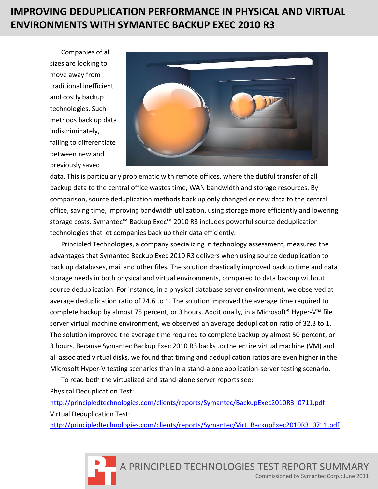# **IMPROVING DEDUPLICATION PERFORMANCE IN PHYSICAL AND VIRTUAL ENVIRONMENTS WITH SYMANTEC BACKUP EXEC 2010 R3**

Companies of all sizes are looking to move away from traditional inefficient and costly backup technologies. Such methods back up data indiscriminately, failing to differentiate between new and previously saved



data. This is particularly problematic with remote offices, where the dutiful transfer of all backup data to the central office wastes time, WAN bandwidth and storage resources. By comparison, source deduplication methods back up only changed or new data to the central office, saving time, improving bandwidth utilization, using storage more efficiently and lowering storage costs. Symantec™ Backup Exec™ 2010 R3 includes powerful source deduplication technologies that let companies back up their data efficiently.

Principled Technologies, a company specializing in technology assessment, measured the advantages that Symantec Backup Exec 2010 R3 delivers when using source deduplication to back up databases, mail and other files. The solution drastically improved backup time and data storage needs in both physical and virtual environments, compared to data backup without source deduplication. For instance, in a physical database server environment, we observed at average deduplication ratio of 24.6 to 1. The solution improved the average time required to complete backup by almost 75 percent, or 3 hours. Additionally, in a Microsoft<sup>®</sup> Hyper-V<sup>™</sup> file server virtual machine environment, we observed an average deduplication ratio of 32.3 to 1. The solution improved the average time required to complete backup by almost 50 percent, or 3 hours. Because Symantec Backup Exec 2010 R3 backs up the entire virtual machine (VM) and all associated virtual disks, we found that timing and deduplication ratios are even higher in the Microsoft Hyper-V testing scenarios than in a stand-alone application-server testing scenario.

To read both the virtualized and stand-alone server reports see: Physical Deduplication Test:

[http://principledtechnologies.com/clients/reports/Symantec/BackupExec2010R3\\_0711.pdf](http://principledtechnologies.com/clients/reports/Symantec/BackupExec2010R3_0711.pdf) Virtual Deduplication Test:

[http://principledtechnologies.com/clients/reports/Symantec/Virt\\_BackupExec2010R3\\_0711.pdf](http://principledtechnologies.com/clients/reports/Symantec/Virt_BackupExec2010R3_0711.pdf)

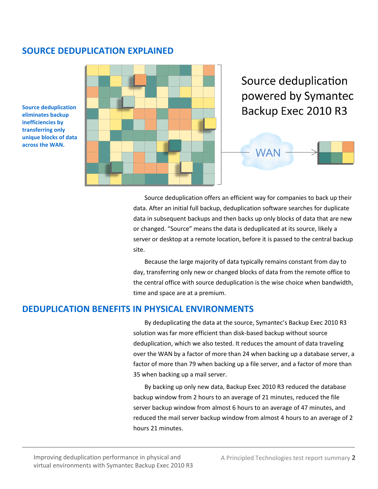# **SOURCE DEDUPLICATION EXPLAINED**

**Source deduplication eliminates backup inefficiencies by transferring only unique blocks of data across the WAN.**

Source deduplication powered by Symantec Backup Exec 2010 R3 **WAN** 

> Source deduplication offers an efficient way for companies to back up their data. After an initial full backup, deduplication software searches for duplicate data in subsequent backups and then backs up only blocks of data that are new or changed. "Source" means the data is deduplicated at its source, likely a server or desktop at a remote location, before it is passed to the central backup site.

> Because the large majority of data typically remains constant from day to day, transferring only new or changed blocks of data from the remote office to the central office with source deduplication is the wise choice when bandwidth, time and space are at a premium.

## **DEDUPLICATION BENEFITS IN PHYSICAL ENVIRONMENTS**

By deduplicating the data at the source, Symantec's Backup Exec 2010 R3 solution was far more efficient than disk-based backup without source deduplication, which we also tested. It reduces the amount of data traveling over the WAN by a factor of more than 24 when backing up a database server, a factor of more than 79 when backing up a file server, and a factor of more than 35 when backing up a mail server.

By backing up only new data, Backup Exec 2010 R3 reduced the database backup window from 2 hours to an average of 21 minutes, reduced the file server backup window from almost 6 hours to an average of 47 minutes, and reduced the mail server backup window from almost 4 hours to an average of 2 hours 21 minutes.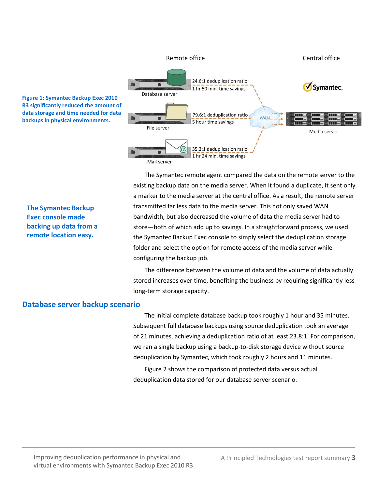

**Figure 1: Symantec Backup Exec 2010 R3 significantly reduced the amount of data storage and time needed for data backups in physical environments.**

**The Symantec Backup Exec console made backing up data from a remote location easy.**

The Symantec remote agent compared the data on the remote server to the existing backup data on the media server. When it found a duplicate, it sent only a marker to the media server at the central office. As a result, the remote server transmitted far less data to the media server. This not only saved WAN bandwidth, but also decreased the volume of data the media server had to store—both of which add up to savings. In a straightforward process, we used the Symantec Backup Exec console to simply select the deduplication storage folder and select the option for remote access of the media server while configuring the backup job.

The difference between the volume of data and the volume of data actually stored increases over time, benefiting the business by requiring significantly less long-term storage capacity.

#### **Database server backup scenario**

The initial complete database backup took roughly 1 hour and 35 minutes. Subsequent full database backups using source deduplication took an average of 21 minutes, achieving a deduplication ratio of at least 23.8:1. For comparison, we ran a single backup using a backup-to-disk storage device without source deduplication by Symantec, which took roughly 2 hours and 11 minutes.

Figure 2 shows the comparison of protected data versus actual deduplication data stored for our database server scenario.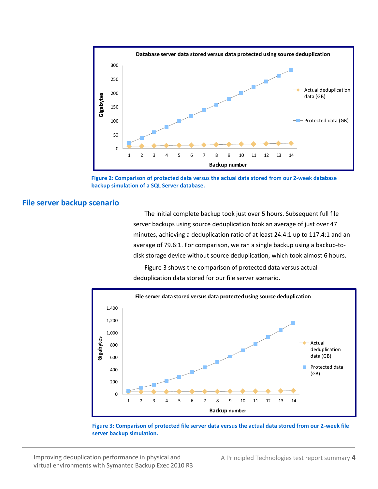

**Figure 2: Comparison of protected data versus the actual data stored from our 2-week database backup simulation of a SQL Server database.**

#### **File server backup scenario**

The initial complete backup took just over 5 hours. Subsequent full file server backups using source deduplication took an average of just over 47 minutes, achieving a deduplication ratio of at least 24.4:1 up to 117.4:1 and an average of 79.6:1. For comparison, we ran a single backup using a backup-todisk storage device without source deduplication, which took almost 6 hours.

Figure 3 shows the comparison of protected data versus actual deduplication data stored for our file server scenario.



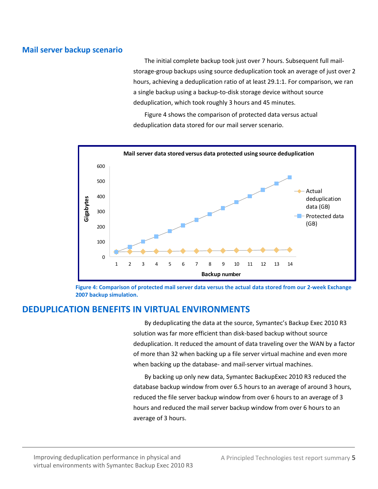## **Mail server backup scenario**

The initial complete backup took just over 7 hours. Subsequent full mailstorage-group backups using source deduplication took an average of just over 2 hours, achieving a deduplication ratio of at least 29.1:1. For comparison, we ran a single backup using a backup-to-disk storage device without source deduplication, which took roughly 3 hours and 45 minutes.

Figure 4 shows the comparison of protected data versus actual deduplication data stored for our mail server scenario.



**Figure 4: Comparison of protected mail server data versus the actual data stored from our 2-week Exchange 2007 backup simulation.**

# **DEDUPLICATION BENEFITS IN VIRTUAL ENVIRONMENTS**

By deduplicating the data at the source, Symantec's Backup Exec 2010 R3 solution was far more efficient than disk-based backup without source deduplication. It reduced the amount of data traveling over the WAN by a factor of more than 32 when backing up a file server virtual machine and even more when backing up the database- and mail-server virtual machines.

By backing up only new data, Symantec BackupExec 2010 R3 reduced the database backup window from over 6.5 hours to an average of around 3 hours, reduced the file server backup window from over 6 hours to an average of 3 hours and reduced the mail server backup window from over 6 hours to an average of 3 hours.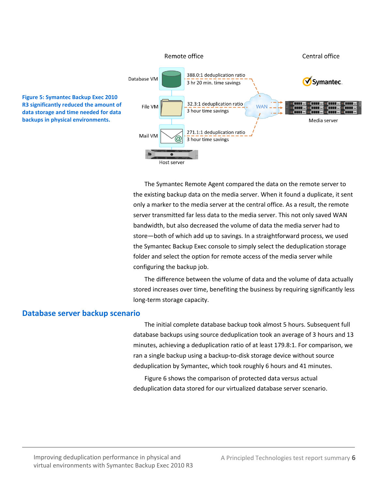

The Symantec Remote Agent compared the data on the remote server to the existing backup data on the media server. When it found a duplicate, it sent only a marker to the media server at the central office. As a result, the remote server transmitted far less data to the media server. This not only saved WAN bandwidth, but also decreased the volume of data the media server had to store—both of which add up to savings. In a straightforward process, we used the Symantec Backup Exec console to simply select the deduplication storage folder and select the option for remote access of the media server while configuring the backup job.

The difference between the volume of data and the volume of data actually stored increases over time, benefiting the business by requiring significantly less long-term storage capacity.

#### **Database server backup scenario**

The initial complete database backup took almost 5 hours. Subsequent full database backups using source deduplication took an average of 3 hours and 13 minutes, achieving a deduplication ratio of at least 179.8:1. For comparison, we ran a single backup using a backup-to-disk storage device without source deduplication by Symantec, which took roughly 6 hours and 41 minutes.

Figure 6 shows the comparison of protected data versus actual deduplication data stored for our virtualized database server scenario.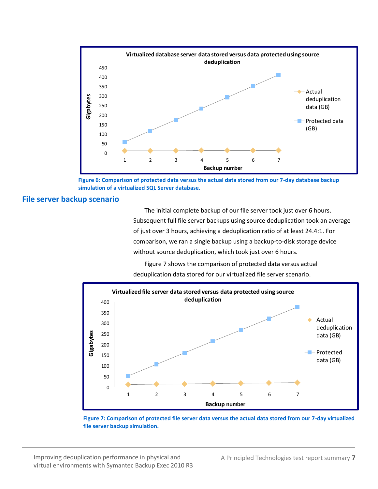

**Figure 6: Comparison of protected data versus the actual data stored from our 7-day database backup simulation of a virtualized SQL Server database.**

#### **File server backup scenario**

The initial complete backup of our file server took just over 6 hours. Subsequent full file server backups using source deduplication took an average of just over 3 hours, achieving a deduplication ratio of at least 24.4:1. For comparison, we ran a single backup using a backup-to-disk storage device without source deduplication, which took just over 6 hours.

Figure 7 shows the comparison of protected data versus actual deduplication data stored for our virtualized file server scenario.



**Figure 7: Comparison of protected file server data versus the actual data stored from our 7-day virtualized file server backup simulation.**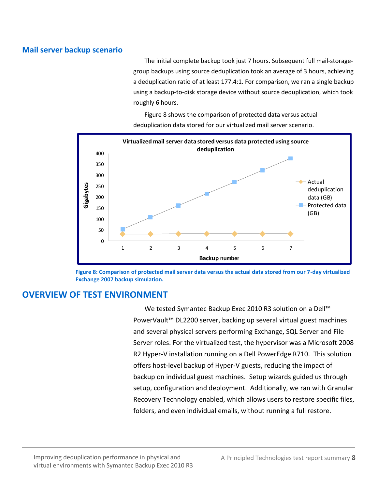# **Mail server backup scenario**

The initial complete backup took just 7 hours. Subsequent full mail-storagegroup backups using source deduplication took an average of 3 hours, achieving a deduplication ratio of at least 177.4:1. For comparison, we ran a single backup using a backup-to-disk storage device without source deduplication, which took roughly 6 hours.

0 50 100 150 200 250 300 350 400 under 250<br>
1 2 3 4 5 6 7<br>
0 1 2 3 4 5 6 7 **Virtualized mail server data stored versus data protected using source deduplication**  Actual deduplication data (GB)  $P$  Protected data (GB) **Backup number**

Figure 8 shows the comparison of protected data versus actual deduplication data stored for our virtualized mail server scenario.

**Figure 8: Comparison of protected mail server data versus the actual data stored from our 7-day virtualized Exchange 2007 backup simulation.**

# **OVERVIEW OF TEST ENVIRONMENT**

We tested Symantec Backup Exec 2010 R3 solution on a Dell™ PowerVault™ DL2200 server, backing up several virtual guest machines and several physical servers performing Exchange, SQL Server and File Server roles. For the virtualized test, the hypervisor was a Microsoft 2008 R2 Hyper-V installation running on a Dell PowerEdge R710. This solution offers host-level backup of Hyper-V guests, reducing the impact of backup on individual guest machines. Setup wizards guided us through setup, configuration and deployment. Additionally, we ran with Granular Recovery Technology enabled, which allows users to restore specific files, folders, and even individual emails, without running a full restore.